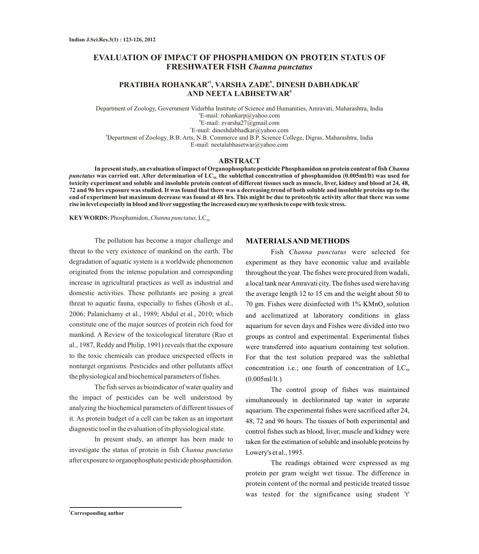# **EVALUATION OF IMPACT OF PHOSPHAMIDON ON PROTEIN STATUS OF FRESHWATER FISH** *Channa punctatus*

## **a1 b c PRATIBHA ROHANKAR , VARSHA ZADE , DINESH DABHADKAR <sup>d</sup> AND NEETA LABHSETWAR**

Department of Zoology, Government Vidarbha Institute of Science and Humanities, Amravati, Maharashtra, India a E-mail: rohankarp@yahoo.com b E-mail: zvarsha27@gmail.com c E-mail: dineshdabhadkar@yahoo.com <sup>d</sup>Department of Zoology, B.B. Arts, N.B. Commerce and B.P. Science College, Digras, Maharashtra, India E-mail: neetalabhasetwar@yahoo.com

### **ABSTRACT**

**In present study, an evaluation of impact of Organophosphate pesticide Phosphamidon on protein content of fish** *Channa punctatus* **was carried out. After determination of LC50, the sublethal concentration of phosphamidon (0.005ml/lt) was used for toxicity experiment and soluble and insoluble protein content of different tissues such as muscle, liver, kidney and blood at 24, 48, 72 and 96 hrs exposure was studied. It was found that there was a decreasing trend of both soluble and insoluble proteins up to the end of experiment but maximum decrease was found at 48 hrs. This might be due to proteolytic activity after that there was some rise in level especially in blood and liver suggesting the increased enzyme synthesis to cope with toxic stress.**

**KEY WORDS:** Phosphamidon, *Channa punctatus*, LC<sub>50</sub>

The pollution has become a major challenge and threat to the very existence of mankind on the earth. The degradation of aquatic system is a worldwide phenomenon originated from the intense population and corresponding increase in agricultural practices as well as industrial and domestic activities. These pollutants are posing a great threat to aquatic fauna, especially to fishes (Ghosh et al., 2006; Palanichamy et al., 1989; Abdul et al., 2010; which constitute one of the major sources of protein rich food for mankind. A Review of the toxicological literature (Rao et al., 1987, Reddy and Philip, 1991) reveals that the exposure to the toxic chemicals can produce unexpected effects in nontarget organisms. Pesticides and other pollutants affect the physiological and biochemical parameters of fishes.

The fish serves as bioindicator of water quality and the impact of pesticides can be well understood by analyzing the biochemical parameters of different tissues of it. As protein budget of a cell can be taken as an important diagnostic tool in the evaluation of its physiological state.

In present study, an attempt has been made to investigate the status of protein in fish *Channa punctatus*  after exposure to organophosphate pesticide phosphamidon.

#### **MATERIALS AND METHODS**

Fish *Channa punctatus* were selected for experiment as they have economic value and available throughout the year. The fishes were procured from wadali, a local tank near Amravati city. The fishes used were having the average length 12 to 15 cm and the weight about 50 to 70 gm. Fishes were disinfected with  $1\%$  KMnO<sub>4</sub> solution and acclimatized at laboratory conditions in glass aquarium for seven days and Fishes were divided into two groups as control and experimental. Experimental fishes were transferred into aquarium containing test solution. For that the test solution prepared was the sublethal concentration i.e.; one fourth of concentration of  $LC_{50}$ (0.005ml/lt.)

The control group of fishes was maintained simultaneously in dechlorinated tap water in separate aquarium. The experimental fishes were sacrificed after 24, 48, 72 and 96 hours. The tissues of both experimental and control fishes such as blood, liver, muscle and kidney were taken for the estimation of soluble and insoluble proteins by Lowery's et al., 1993.

The readings obtained were expressed as mg protein per gram weight wet tissue. The difference in protein content of the normal and pesticide treated tissue was tested for the significance using student 't'

**<sup>1</sup>Corresponding author**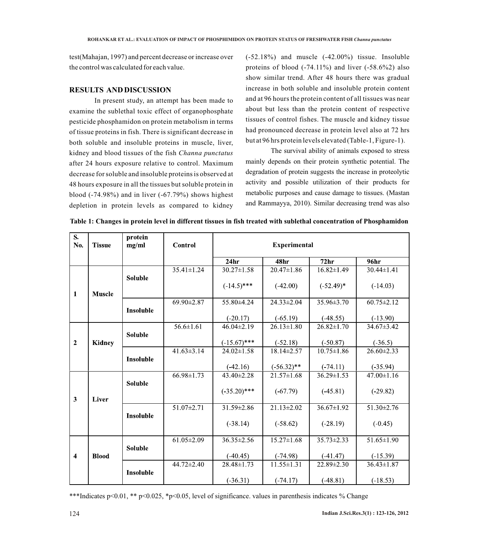test(Mahajan, 1997) and percent decrease or increase over the control was calculated for each value.

## **RESULTS AND DISCUSSION**

In present study, an attempt has been made to examine the sublethal toxic effect of organophosphate pesticide phosphamidon on protein metabolism in terms of tissue proteins in fish. There is significant decrease in both soluble and insoluble proteins in muscle, liver, kidney and blood tissues of the fish *Channa punctatus*  after 24 hours exposure relative to control. Maximum decrease for soluble and insoluble proteins is observed at 48 hours exposure in all the tissues but soluble protein in blood  $(-74.98\%)$  and in liver  $(-67.79\%)$  shows highest depletion in protein levels as compared to kidney

(-52.18%) and muscle (-42.00%) tissue. Insoluble proteins of blood  $(-74.11\%)$  and liver  $(-58.6\%)$  also show similar trend. After 48 hours there was gradual increase in both soluble and insoluble protein content and at 96 hours the protein content of all tissues was near about but less than the protein content of respective tissues of control fishes. The muscle and kidney tissue had pronounced decrease in protein level also at 72 hrs but at 96 hrs protein levels elevated (Table-1, Figure-1).

The survival ability of animals exposed to stress mainly depends on their protein synthetic potential. The degradation of protein suggests the increase in proteolytic activity and possible utilization of their products for metabolic purposes and cause damage to tissues. (Mastan and Rammayya, 2010). Similar decreasing trend was also

| S.<br>No.               | <b>Tissue</b> | protein<br>mg/ml | <b>Control</b>   | <b>Experimental</b> |                          |                  |                  |
|-------------------------|---------------|------------------|------------------|---------------------|--------------------------|------------------|------------------|
|                         |               |                  |                  | 24 <sub>hr</sub>    | 48hr                     | 72 <sub>hr</sub> | 96 <sub>hr</sub> |
|                         |               |                  | $35.41 \pm 1.24$ | $30.27 \pm 1.58$    | $20.47 \pm 1.86$         | $16.82 \pm 1.49$ | $30.44 \pm 1.41$ |
| 1                       | <b>Muscle</b> | <b>Soluble</b>   |                  | $(-14.5)$ ***       | $(-42.00)$               | $(-52.49)^*$     | $(-14.03)$       |
|                         |               |                  | 69.90±2.87       | 55.80±4.24          | 24.33±2.04               | 35.96±3.70       | $60.75 \pm 2.12$ |
|                         |               | <b>Insoluble</b> |                  | $(-20.17)$          | $(-65.19)$               | $(-48.55)$       | $(-13.90)$       |
|                         |               |                  | $56.6 \pm 1.61$  | $46.04 \pm 2.19$    | $26.13 \pm 1.80$         | $26.82 \pm 1.70$ | 34.67±3.42       |
| $\overline{2}$          | <b>Kidney</b> | <b>Soluble</b>   |                  | $(-15.67)$ ***      | $(-52.18)$               | $(-50.87)$       | $(-36.5)$        |
|                         |               |                  | $41.63 \pm 3.14$ | $24.02 \pm 1.58$    | 18.14±2.57               | $10.75 \pm 1.86$ | 26.60±2.33       |
|                         |               | <b>Insoluble</b> |                  | $(-42.16)$          | $(-56.32)$ **            | $(-74.11)$       | $(-35.94)$       |
|                         |               |                  | $66.98 \pm 1.73$ | 43.40±2.28          | $\overline{21.57}$ ±1.68 | $36.29 \pm 1.53$ | 47.00±1.16       |
| $\overline{\mathbf{3}}$ | Liver         | <b>Soluble</b>   |                  | $(-35.20)$ ***      | $(-67.79)$               | $(-45.81)$       | $(-29.82)$       |
|                         |               |                  | $51.07 \pm 2.71$ | 31.59±2.86          | $21.13 \pm 2.02$         | $36.67 \pm 1.92$ | 51.30±2.76       |
|                         |               | Insoluble        |                  | $(-38.14)$          | $(-58.62)$               | $(-28.19)$       | $(-0.45)$        |
|                         |               |                  | $61.05 \pm 2.09$ | 36.35±2.56          | $15.27 \pm 1.68$         | $35.73 \pm 2.33$ | 51.65±1.90       |
| $\overline{\mathbf{4}}$ | <b>Blood</b>  | <b>Soluble</b>   |                  | $(-40.45)$          | $(-74.98)$               | $(-41.47)$       | $(-15.39)$       |
|                         |               |                  | 44.72±2.40       | 28.48±1.73          | $11.55 \pm 1.31$         | 22.89±2.30       | $36.43 \pm 1.87$ |
|                         |               | <b>Insoluble</b> |                  | $(-36.31)$          | $(-74.17)$               | $(-48.81)$       | $(-18.53)$       |

**Table 1: Changes in protein level in different tissues in fish treated with sublethal concentration of Phosphamidon**

\*\*\*Indicates p<0.01, \*\* p<0.025, \*p<0.05, level of significance. values in parenthesis indicates % Change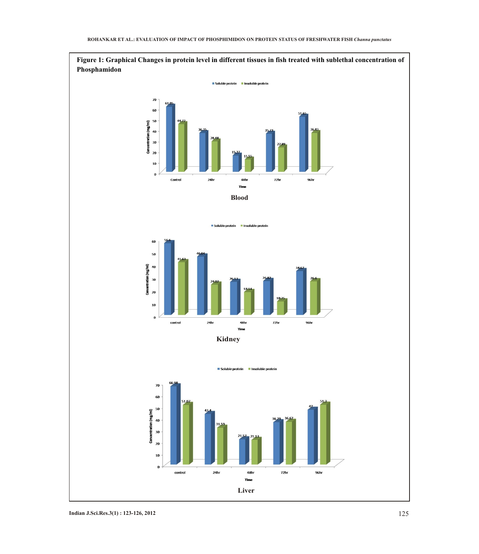